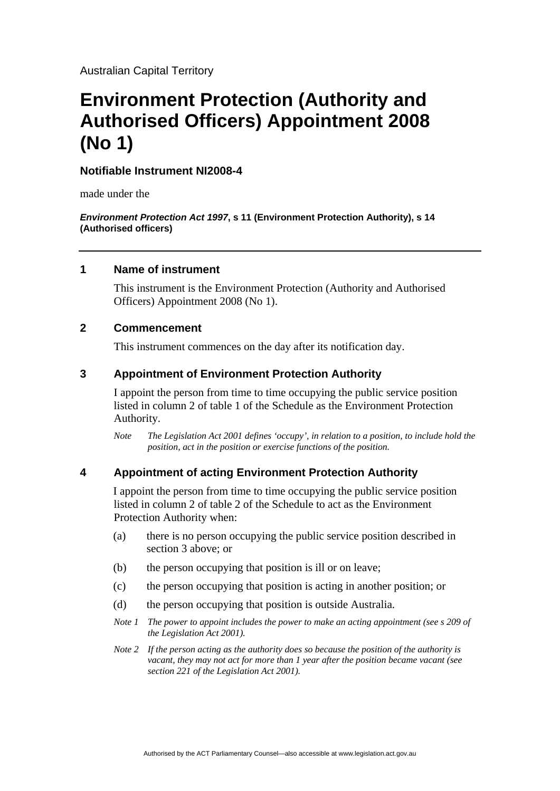Australian Capital Territory

# **Environment Protection (Authority and Authorised Officers) Appointment 2008 (No 1)**

## **Notifiable Instrument NI2008-4**

made under the

*Environment Protection Act 1997***, s 11 (Environment Protection Authority), s 14 (Authorised officers)** 

## **1 Name of instrument**

This instrument is the Environment Protection (Authority and Authorised Officers) Appointment 2008 (No 1).

# **2 Commencement**

This instrument commences on the day after its notification day.

## **3 Appointment of Environment Protection Authority**

I appoint the person from time to time occupying the public service position listed in column 2 of table 1 of the Schedule as the Environment Protection Authority.

*Note The Legislation Act 2001 defines 'occupy', in relation to a position, to include hold the position, act in the position or exercise functions of the position.* 

# **4 Appointment of acting Environment Protection Authority**

I appoint the person from time to time occupying the public service position listed in column 2 of table 2 of the Schedule to act as the Environment Protection Authority when:

- (a) there is no person occupying the public service position described in section 3 above; or
- (b) the person occupying that position is ill or on leave;
- (c) the person occupying that position is acting in another position; or
- (d) the person occupying that position is outside Australia.
- *Note 1 The power to appoint includes the power to make an acting appointment (see s 209 of the Legislation Act 2001).*
- *Note 2 If the person acting as the authority does so because the position of the authority is vacant, they may not act for more than 1 year after the position became vacant (see section 221 of the Legislation Act 2001).*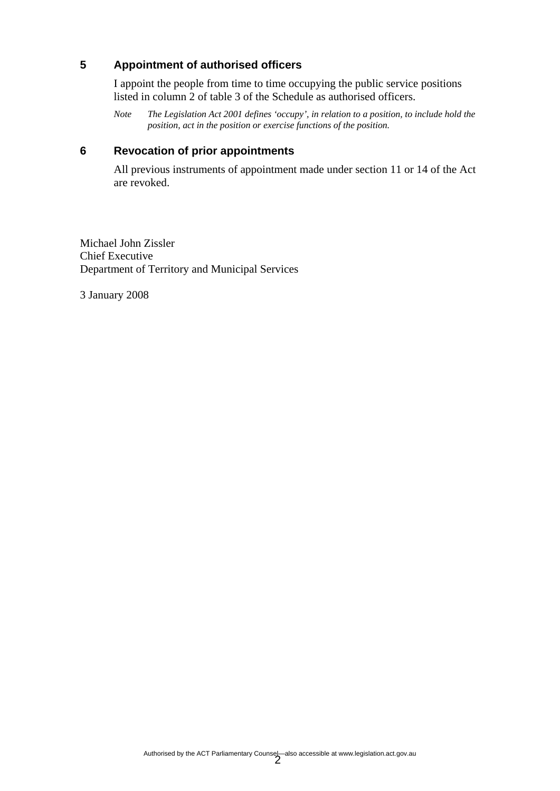# **5 Appointment of authorised officers**

I appoint the people from time to time occupying the public service positions listed in column 2 of table 3 of the Schedule as authorised officers.

*Note The Legislation Act 2001 defines 'occupy', in relation to a position, to include hold the position, act in the position or exercise functions of the position.* 

## **6 Revocation of prior appointments**

All previous instruments of appointment made under section 11 or 14 of the Act are revoked.

Michael John Zissler Chief Executive Department of Territory and Municipal Services

3 January 2008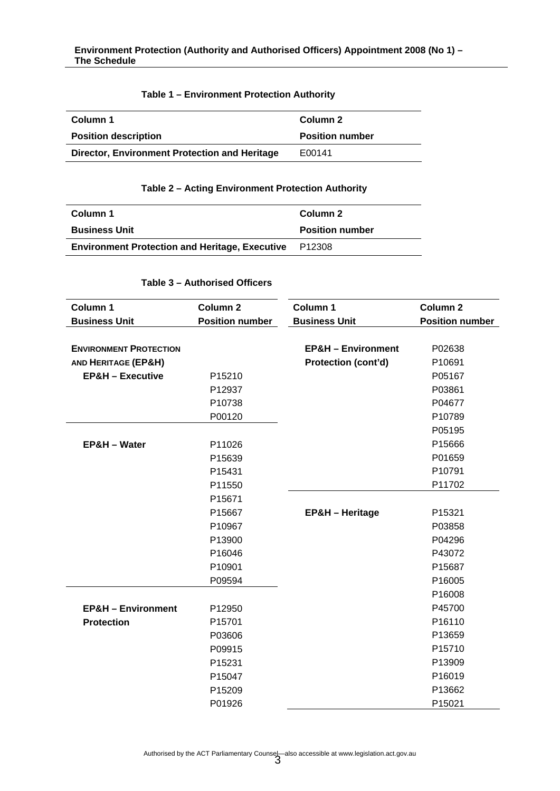### **Table 1 – Environment Protection Authority**

| Column 2               |
|------------------------|
| <b>Position number</b> |
| E00141                 |
|                        |

#### **Table 2 – Acting Environment Protection Authority**

| Column 1                                                     | Column 2               |
|--------------------------------------------------------------|------------------------|
| <b>Business Unit</b>                                         | <b>Position number</b> |
| <b>Environment Protection and Heritage, Executive P12308</b> |                        |

## **Table 3 – Authorised Officers**

| Column 1                       | Column <sub>2</sub>    | Column 1                      | <b>Column 2</b>        |
|--------------------------------|------------------------|-------------------------------|------------------------|
| <b>Business Unit</b>           | <b>Position number</b> | <b>Business Unit</b>          | <b>Position number</b> |
|                                |                        |                               |                        |
| <b>ENVIRONMENT PROTECTION</b>  |                        | <b>EP&amp;H - Environment</b> | P02638                 |
| <b>AND HERITAGE (EP&amp;H)</b> |                        | <b>Protection (cont'd)</b>    | P10691                 |
| <b>EP&amp;H - Executive</b>    | P15210                 |                               | P05167                 |
|                                | P12937                 |                               | P03861                 |
|                                | P10738                 |                               | P04677                 |
|                                | P00120                 |                               | P10789                 |
|                                |                        |                               | P05195                 |
| EP&H - Water                   | P11026                 |                               | P15666                 |
|                                | P15639                 |                               | P01659                 |
|                                | P15431                 |                               | P10791                 |
|                                | P11550                 |                               | P11702                 |
|                                | P15671                 |                               |                        |
|                                | P15667                 | <b>EP&amp;H - Heritage</b>    | P15321                 |
|                                | P10967                 |                               | P03858                 |
|                                | P13900                 |                               | P04296                 |
|                                | P16046                 |                               | P43072                 |
|                                | P10901                 |                               | P15687                 |
|                                | P09594                 |                               | P16005                 |
|                                |                        |                               | P16008                 |
| <b>EP&amp;H - Environment</b>  | P12950                 |                               | P45700                 |
| <b>Protection</b>              | P15701                 |                               | P16110                 |
|                                | P03606                 |                               | P13659                 |
|                                | P09915                 |                               | P15710                 |
|                                | P15231                 |                               | P13909                 |
|                                | P15047                 |                               | P16019                 |
|                                | P15209                 |                               | P13662                 |
|                                | P01926                 |                               | P15021                 |